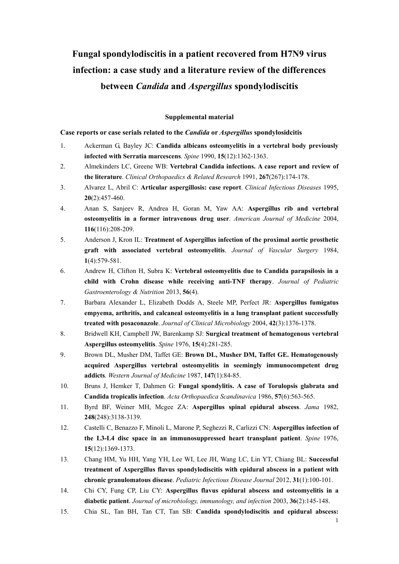## **Fungal spondylodiscitis in a patient recovered from H7N9 virus infection: a case study and a literature review of the differences between** *Candida* **and** *Aspergillus* **spondylodiscitis**

## **Supplemental material**

## **Case reports or case serials related to the** *Candida* **or** *Aspergillus* **spondylosidcitis**

- 1. Ackerman G, Bayley JC: **Candida albicans osteomyelitis in a vertebral body previously infected with Serratia marcescens**. *Spine* 1990, **15**(12):1362-1363.
- 2. Almekinders LC, Greene WB: **Vertebral Candida infections. A case report and review of the literature**. *Clinical Orthopaedics & Related Research* 1991, **267**(267):174-178.
- 3. Alvarez L, Abril C: **Articular aspergillosis: case report**. *Clinical Infectious Diseases* 1995, **20**(2):457-460.
- 4. Anan S, Sanjeev R, Andrea H, Goran M, Yaw AA: **Aspergillus rib and vertebral osteomyelitis in a former intravenous drug user**. *American Journal of Medicine* 2004, **116**(116):208-209.
- 5. Anderson J, Kron IL: **Treatment of Aspergillus infection of the proximal aortic prosthetic graft with associated vertebral osteomyelitis**. *Journal of Vascular Surgery* 1984, **1**(4):579-581.
- 6. Andrew H, Clifton H, Subra K: **Vertebral osteomyelitis due to Candida parapsilosis in a child with Crohn disease while receiving anti-TNF therapy**. *Journal of Pediatric Gastroenterology & Nutrition* 2013, **56**(4).
- 7. Barbara Alexander L, Elizabeth Dodds A, Steele MP, Perfect JR: **Aspergillus fumigatus empyema, arthritis, and calcaneal osteomyelitis in a lung transplant patient successfully treated with posaconazole**. *Journal of Clinical Microbiology* 2004, **42**(3):1376-1378.
- 8. Bridwell KH, Campbell JW, Barenkamp SJ: **Surgical treatment of hematogenous vertebral Aspergillus osteomyelitis**. *Spine* 1976, **15**(4):281-285.
- 9. Brown DL, Musher DM, Taffet GE: **Brown DL, Musher DM, Taffet GE. Hematogenously acquired Aspergillus vertebral osteomyelitis in seemingly immunocompetent drug addicts**. *Western Journal of Medicine* 1987, **147**(1):84-85.
- 10. Bruns J, Hemker T, Dahmen G: **Fungal spondylitis. A case of Torulopsis glabrata and Candida tropicalis infection**. *Acta Orthopaedica Scandinavica* 1986, **57**(6):563-565.
- 11. Byrd BF, Weiner MH, Mcgee ZA: **Aspergillus spinal epidural abscess**. *Jama* 1982, **248**(248):3138-3139.
- 12. Castelli C, Benazzo F, Minoli L, Marone P, Seghezzi R, Carlizzi CN: **Aspergillus infection of the L3-L4 disc space in an immunosuppressed heart transplant patient**. *Spine* 1976, **15**(12):1369-1373.
- 13. Chang HM, Yu HH, Yang YH, Lee WI, Lee JH, Wang LC, Lin YT, Chiang BL: **Successful treatment of Aspergillus flavus spondylodiscitis with epidural abscess in a patient with chronic granulomatous disease**. *Pediatric Infectious Disease Journal* 2012, **31**(1):100-101.
- 14. Chi CY, Fung CP, Liu CY: **Aspergillus flavus epidural abscess and osteomyelitis in a diabetic patient**. *Journal of microbiology, immunology, and infection* 2003, **36**(2):145-148.
- 15. Chia SL, Tan BH, Tan CT, Tan SB: **Candida spondylodiscitis and epidural abscess:**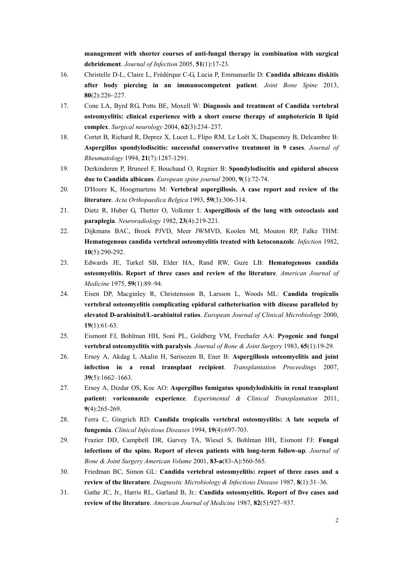**management with shorter courses of anti-fungal therapy in combination with surgical debridement**. *Journal of Infection* 2005, **51**(1):17-23.

- 16. Christelle D-L, Claire L, Frédérque C-G, Lucia P, Emmanuelle D: **Candida albicans diskitis after body piercing in an immunocompetent patient**. *Joint Bone Spine* 2013, **80**(2):226–227.
- 17. Cone LA, Byrd RG, Potts BE, Moxell W: **Diagnosis and treatment of Candida vertebral osteomyelitis: clinical experience with a short course therapy of amphotericin B lipid complex**. *Surgical neurology* 2004, **62**(3):234–237.
- 18. Cortet B, Richard R, Deprez X, Lucet L, Flipo RM, Le Loët X, Duquesnoy B, Delcambre B: **Aspergillus spondylodiscitis: successful conservative treatment in 9 cases**. *Journal of Rheumatology* 1994, **21**(7):1287-1291.
- 19. Derkinderen P, Bruneel F, Bouchaud O, Regnier B: **Spondylodiscitis and epidural abscess due to Candida albicans**. *European spine journal* 2000, **9**(1):72-74.
- 20. D'Hoore K, Hoogmartens M: **Vertebral aspergillosis. A case report and review of the literature**. *Acta Orthopaedica Belgica* 1993, **59**(3):306-314.
- 21. Dietz R, Huber G, Thetter O, Volkmer I: **Aspergillosis of the lung with osteoclasis and paraplegia**. *Neuroradiology* 1982, **23**(4):219-221.
- 22. Dijkmans BAC, Broek PJVD, Meer JWMVD, Koolen MI, Mouton RP, Falke THM: **Hematogenous candida vertebral osteomyelitis treated with ketoconazole**. *Infection* 1982, **10**(5):290-292.
- 23. Edwards JE, Turkel SB, Elder HA, Rand RW, Guze LB: **Hematogenous candida osteomyelitis. Report of three cases and review of the literature**. *American Journal of Medicine* 1975, **59**(1):89–94.
- 24. Eisen DP, Macginley R, Christensson B, Larsson L, Woods ML: **Candida tropicalis vertebral osteomyelitis complicating epidural catheterisation with disease paralleled by elevated D-arabinitol/L-arabinitol ratios**. *European Journal of Clinical Microbiology* 2000, **19**(1):61-63.
- 25. Eismont FJ, Bohlman HH, Soni PL, Goldberg VM, Freehafer AA: **Pyogenic and fungal vertebral osteomyelitis with paralysis**. *Journal of Bone & Joint Surgery* 1983, **65**(1):19-29.
- 26. Ersoy A, Akdag I, Akalin H, Sarisozen B, Ener B: **Aspergillosis osteomyelitis and joint infection in a renal transplant recipient**. *Transplantation Proceedings* 2007, **39**(5):1662–1663.
- 27. Ersoy A, Dizdar OS, Koc AO: **Aspergillus fumigatus spondylodiskitis in renal transplant patient: voriconazole experience**. *Experimental & Clinical Transplantation* 2011, **9**(4):265-269.
- 28. Ferra C, Gingrich RD: **Candida tropicalis vertebral osteomyelitis: A late sequela of fungemia**. *Clinical Infectious Diseases* 1994, **19**(4):697-703.
- 29. Frazier DD, Campbell DR, Garvey TA, Wiesel S, Bohlman HH, Eismont FJ: **Fungal infections of the spine. Report of eleven patients with long-term follow-up**. *Journal of Bone & Joint Surgery American Volume* 2001, **83-a**(83-A):560-565.
- 30. Friedman BC, Simon GL: **Candida vertebral osteomyelitis: report of three cases and a review of the literature**. *Diagnostic Microbiology & Infectious Disease* 1987, **8**(1):31–36.
- 31. Gathe JC, Jr., Harris RL, Garland B, Jr.: **Candida osteomyelitis. Report of five cases and review of the literature**. *American Journal of Medicine* 1987, **82**(5):927–937.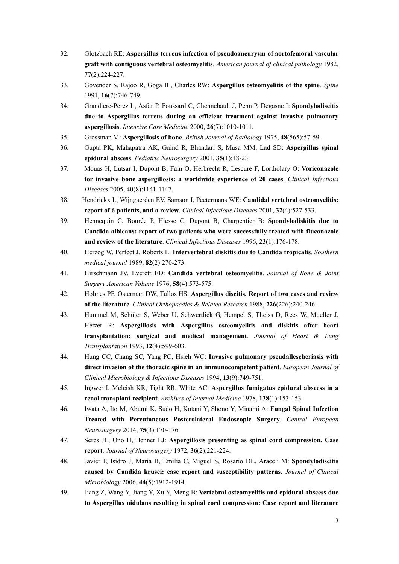- 32. Glotzbach RE: **Aspergillus terreus infection of pseudoaneurysm of aortofemoral vascular graft with contiguous vertebral osteomyelitis**. *American journal of clinical pathology* 1982, **77**(2):224-227.
- 33. Govender S, Rajoo R, Goga IE, Charles RW: **Aspergillus osteomyelitis of the spine**. *Spine*  1991, **16**(7):746-749.
- 34. Grandiere-Perez L, Asfar P, Foussard C, Chennebault J, Penn P, Degasne I: **Spondylodiscitis due to Aspergillus terreus during an efficient treatment against invasive pulmonary aspergillosis**. *Intensive Care Medicine* 2000, **26**(7):1010-1011.
- 35. Grossman M: **Aspergillosis of bone**. *British Journal of Radiology* 1975, **48**(565):57-59.
- 36. Gupta PK, Mahapatra AK, Gaind R, Bhandari S, Musa MM, Lad SD: **Aspergillus spinal epidural abscess**. *Pediatric Neurosurgery* 2001, **35**(1):18-23.
- 37. Mouas H, Lutsar I, Dupont B, Fain O, Herbrecht R, Lescure F, Lortholary O: **Voriconazole for invasive bone aspergillosis: a worldwide experience of 20 cases**. *Clinical Infectious Diseases* 2005, **40**(8):1141-1147.
- 38. Hendrickx L, Wijngaerden EV, Samson I, Peetermans WE: **Candidal vertebral osteomyelitis: report of 6 patients, and a review**. *Clinical Infectious Diseases* 2001, **32**(4):527-533.
- 39. Hennequin C, Bourée P, Hiesse C, Dupont B, Charpentier B: **Spondylodiskitis due to Candida albicans: report of two patients who were successfully treated with fluconazole and review of the literature**. *Clinical Infectious Diseases* 1996, **23**(1):176-178.
- 40. Herzog W, Perfect J, Roberts L: **Intervertebral diskitis due to Candida tropicalis**. *Southern medical journal* 1989, **82**(2):270-273.
- 41. Hirschmann JV, Everett ED: **Candida vertebral osteomyelitis**. *Journal of Bone & Joint Surgery American Volume* 1976, **58**(4):573-575.
- 42. Holmes PF, Osterman DW, Tullos HS: **Aspergillus discitis. Report of two cases and review of the literature**. *Clinical Orthopaedics & Related Research* 1988, **226**(226):240-246.
- 43. Hummel M, Schüler S, Weber U, Schwertlick G, Hempel S, Theiss D, Rees W, Mueller J, Hetzer R: **Aspergillosis with Aspergillus osteomyelitis and diskitis after heart transplantation: surgical and medical management**. *Journal of Heart & Lung Transplantation* 1993, **12**(4):599-603.
- 44. Hung CC, Chang SC, Yang PC, Hsieh WC: **Invasive pulmonary pseudallescheriasis with direct invasion of the thoracic spine in an immunocompetent patient**. *European Journal of Clinical Microbiology & Infectious Diseases* 1994, **13**(9):749-751.
- 45. Ingwer I, Mcleish KR, Tight RR, White AC: **Aspergillus fumigatus epidural abscess in a renal transplant recipient**. *Archives of Internal Medicine* 1978, **138**(1):153-153.
- 46. Iwata A, Ito M, Abumi K, Sudo H, Kotani Y, Shono Y, Minami A: **Fungal Spinal Infection Treated with Percutaneous Posterolateral Endoscopic Surgery**. *Central European Neurosurgery* 2014, **75**(3):170-176.
- 47. Seres JL, Ono H, Benner EJ: **Aspergillosis presenting as spinal cord compression. Case report**. *Journal of Neurosurgery* 1972, **36**(2):221-224.
- 48. Javier P, Isidro J, María B, Emilia C, Miguel S, Rosario DL, Araceli M: **Spondylodiscitis caused by Candida krusei: case report and susceptibility patterns**. *Journal of Clinical Microbiology* 2006, **44**(5):1912-1914.
- 49. Jiang Z, Wang Y, Jiang Y, Xu Y, Meng B: **Vertebral osteomyelitis and epidural abscess due to Aspergillus nidulans resulting in spinal cord compression: Case report and literature**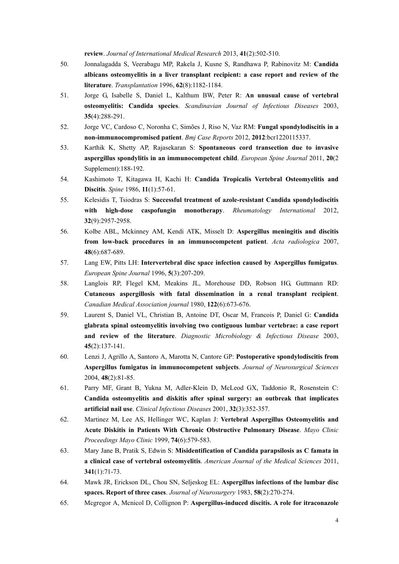**review**. *Journal of International Medical Research* 2013, **41**(2):502-510.

- 50. Jonnalagadda S, Veerabagu MP, Rakela J, Kusne S, Randhawa P, Rabinovitz M: **Candida albicans osteomyelitis in a liver transplant recipient: a case report and review of the literature**. *Transplantation* 1996, **62**(8):1182-1184.
- 51. Jorge G, Isabelle S, Daniel L, Kalthum BW, Peter R: **An unusual cause of vertebral osteomyelitis: Candida species**. *Scandinavian Journal of Infectious Diseases* 2003, **35**(4):288-291.
- 52. Jorge VC, Cardoso C, Noronha C, Simões J, Riso N, Vaz RM: **Fungal spondylodiscitis in a non-immunocompromised patient**. *Bmj Case Reports* 2012, **2012**:bcr1220115337.
- 53. Karthik K, Shetty AP, Rajasekaran S: **Spontaneous cord transection due to invasive aspergillus spondylitis in an immunocompetent child**. *European Spine Journal* 2011, **20**(2 Supplement):188-192.
- 54. Kashimoto T, Kitagawa H, Kachi H: **Candida Tropicalis Vertebral Osteomyelitis and Discitis**. *Spine* 1986, **11**(1):57-61.
- 55. Kelesidis T, Tsiodras S: **Successful treatment of azole-resistant Candida spondylodiscitis with high-dose caspofungin monotherapy**. *Rheumatology International* 2012, **32**(9):2957-2958.
- 56. Kolbe ABL, Mckinney AM, Kendi ATK, Misselt D: **Aspergillus meningitis and discitis from low-back procedures in an immunocompetent patient**. *Acta radiologica* 2007, **48**(6):687-689.
- 57. Lang EW, Pitts LH: **Intervertebral disc space infection caused by Aspergillus fumigatus**. *European Spine Journal* 1996, **5**(3):207-209.
- 58. Langlois RP, Flegel KM, Meakins JL, Morehouse DD, Robson HG, Guttmann RD: **Cutaneous aspergillosis with fatal dissemination in a renal transplant recipient**. *Canadian Medical Association journal* 1980, **122**(6):673-676.
- 59. Laurent S, Daniel VL, Christian B, Antoine DT, Oscar M, Francois P, Daniel G: **Candida glabrata spinal osteomyelitis involving two contiguous lumbar vertebrae: a case report and review of the literature**. *Diagnostic Microbiology & Infectious Disease* 2003, **45**(2):137-141.
- 60. Lenzi J, Agrillo A, Santoro A, Marotta N, Cantore GP: **Postoperative spondylodiscitis from Aspergillus fumigatus in immunocompetent subjects**. *Journal of Neurosurgical Sciences*  2004, **48**(2):81-85.
- 61. Parry MF, Grant B, Yukna M, Adler-Klein D, McLeod GX, Taddonio R, Rosenstein C: **Candida osteomyelitis and diskitis after spinal surgery: an outbreak that implicates artificial nail use**. *Clinical Infectious Diseases* 2001, **32**(3):352-357.
- 62. Martinez M, Lee AS, Hellinger WC, Kaplan J: **Vertebral Aspergillus Osteomyelitis and Acute Diskitis in Patients With Chronic Obstructive Pulmonary Disease**. *Mayo Clinic Proceedings Mayo Clinic* 1999, **74**(6):579-583.
- 63. Mary Jane B, Pratik S, Edwin S: **Misidentification of Candida parapsilosis as C famata in a clinical case of vertebral osteomyelitis**. *American Journal of the Medical Sciences* 2011, **341**(1):71-73.
- 64. Mawk JR, Erickson DL, Chou SN, Seljeskog EL: **Aspergillus infections of the lumbar disc spaces. Report of three cases**. *Journal of Neurosurgery* 1983, **58**(2):270-274.
- 65. Mcgregor A, Mcnicol D, Collignon P: **Aspergillus-induced discitis. A role for itraconazole**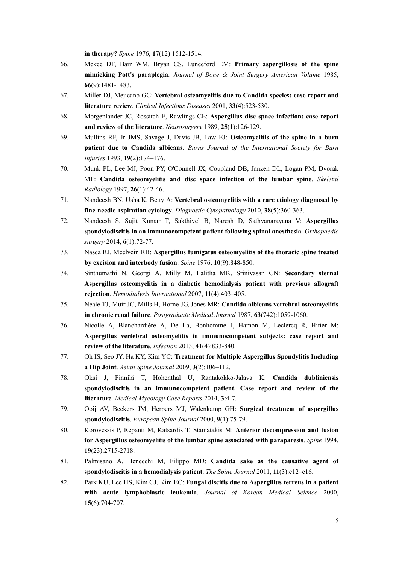**in therapy?** *Spine* 1976, **17**(12):1512-1514.

- 66. Mckee DF, Barr WM, Bryan CS, Lunceford EM: **Primary aspergillosis of the spine mimicking Pott's paraplegia**. *Journal of Bone & Joint Surgery American Volume* 1985, **66**(9):1481-1483.
- 67. Miller DJ, Mejicano GC: **Vertebral osteomyelitis due to Candida species: case report and literature review**. *Clinical Infectious Diseases* 2001, **33**(4):523-530.
- 68. Morgenlander JC, Rossitch E, Rawlings CE: **Aspergillus disc space infection: case report and review of the literature**. *Neurosurgery* 1989, **25**(1):126-129.
- 69. Mullins RF, Jr JMS, Savage J, Davis JB, Law EJ: **Osteomyelitis of the spine in a burn patient due to Candida albicans**. *Burns Journal of the International Society for Burn Injuries* 1993, **19**(2):174–176.
- 70. Munk PL, Lee MJ, Poon PY, O'Connell JX, Coupland DB, Janzen DL, Logan PM, Dvorak MF: **Candida osteomyelitis and disc space infection of the lumbar spine**. *Skeletal Radiology* 1997, **26**(1):42-46.
- 71. Nandeesh BN, Usha K, Betty A: **Vertebral osteomyelitis with a rare etiology diagnosed by fine-needle aspiration cytology**. *Diagnostic Cytopathology* 2010, **38**(5):360-363.
- 72. Nandeesh S, Sujit Kumar T, Sakthivel B, Naresh D, Sathyanarayana V: **Aspergillus spondylodiscitis in an immunocompetent patient following spinal anesthesia**. *Orthopaedic surgery* 2014, **6**(1):72-77.
- 73. Nasca RJ, Mcelvein RB: **Aspergillus fumigatus osteomyelitis of the thoracic spine treated by excision and interbody fusion**. *Spine* 1976, **10**(9):848-850.
- 74. Sinthumathi N, Georgi A, Milly M, Lalitha MK, Srinivasan CN: **Secondary sternal Aspergillus osteomyelitis in a diabetic hemodialysis patient with previous allograft rejection**. *Hemodialysis International* 2007, **11**(4):403–405.
- 75. Neale TJ, Muir JC, Mills H, Horne JG, Jones MR: **Candida albicans vertebral osteomyelitis in chronic renal failure**. *Postgraduate Medical Journal* 1987, **63**(742):1059-1060.
- 76. Nicolle A, Blanchardière A, De La, Bonhomme J, Hamon M, Leclercq R, Hitier M: **Aspergillus vertebral osteomyelitis in immunocompetent subjects: case report and review of the literature**. *Infection* 2013, **41**(4):833-840.
- 77. Oh IS, Seo JY, Ha KY, Kim YC: **Treatment for Multiple Aspergillus Spondylitis Including a Hip Joint**. *Asian Spine Journal* 2009, **3**(2):106–112.
- 78. Oksi J, Finnilä T, Hohenthal U, Rantakokko-Jalava K: **Candida dubliniensis spondylodiscitis in an immunocompetent patient. Case report and review of the literature**. *Medical Mycology Case Reports* 2014, **3**:4-7.
- 79. Ooij AV, Beckers JM, Herpers MJ, Walenkamp GH: **Surgical treatment of aspergillus spondylodiscitis**. *European Spine Journal* 2000, **9**(1):75-79.
- 80. Korovessis P, Repanti M, Katsardis T, Stamatakis M: **Anterior decompression and fusion for Aspergillus osteomyelitis of the lumbar spine associated with paraparesis**. *Spine* 1994, **19**(23):2715-2718.
- 81. Palmisano A, Benecchi M, Filippo MD: **Candida sake as the causative agent of spondylodiscitis in a hemodialysis patient**. *The Spine Journal* 2011, **11**(3):e12–e16.
- 82. Park KU, Lee HS, Kim CJ, Kim EC: **Fungal discitis due to Aspergillus terreus in a patient with acute lymphoblastic leukemia**. *Journal of Korean Medical Science* 2000, **15**(6):704-707.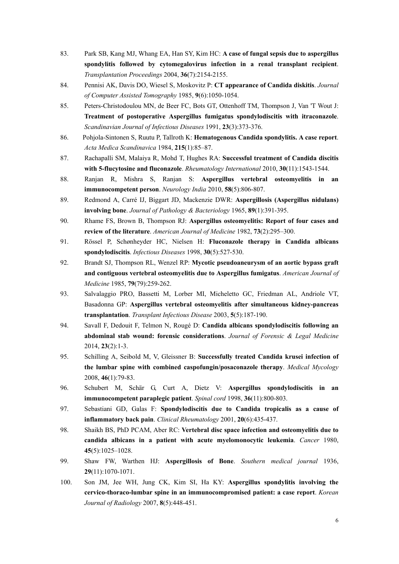- 83. Park SB, Kang MJ, Whang EA, Han SY, Kim HC: **A case of fungal sepsis due to aspergillus spondylitis followed by cytomegalovirus infection in a renal transplant recipient**. *Transplantation Proceedings* 2004, **36**(7):2154-2155.
- 84. Pennisi AK, Davis DO, Wiesel S, Moskovitz P: **CT appearance of Candida diskitis**. *Journal of Computer Assisted Tomography* 1985, **9**(6):1050-1054.
- 85. Peters-Christodoulou MN, de Beer FC, Bots GT, Ottenhoff TM, Thompson J, Van 'T Wout J: **Treatment of postoperative Aspergillus fumigatus spondylodiscitis with itraconazole**. *Scandinavian Journal of Infectious Diseases* 1991, **23**(3):373-376.
- 86. Pohjola-Sintonen S, Ruutu P, Tallroth K: **Hematogenous Candida spondylitis. A case report**. *Acta Medica Scandinavica* 1984, **215**(1):85–87.
- 87. Rachapalli SM, Malaiya R, Mohd T, Hughes RA: **Successful treatment of Candida discitis with 5-flucytosine and fluconazole**. *Rheumatology International* 2010, **30**(11):1543-1544.
- 88. Ranjan R, Mishra S, Ranjan S: **Aspergillus vertebral osteomyelitis in an immunocompetent person**. *Neurology India* 2010, **58**(5):806-807.
- 89. Redmond A, Carré IJ, Biggart JD, Mackenzie DWR: **Aspergillosis (Aspergillus nidulans) involving bone**. *Journal of Pathology & Bacteriology* 1965, **89**(1):391-395.
- 90. Rhame FS, Brown B, Thompson RJ: **Aspergillus osteomyelitis: Report of four cases and review of the literature**. *American Journal of Medicine* 1982, **73**(2):295–300.
- 91. Rössel P, Schønheyder HC, Nielsen H: **Fluconazole therapy in Candida albicans spondylodiscitis**. *Infectious Diseases* 1998, **30**(5):527-530.
- 92. Brandt SJ, Thompson RL, Wenzel RP: **Mycotic pseudoaneurysm of an aortic bypass graft and contiguous vertebral osteomyelitis due to Aspergillus fumigatus**. *American Journal of Medicine* 1985, **79**(79):259-262.
- 93. Salvalaggio PRO, Bassetti M, Lorber MI, Micheletto GC, Friedman AL, Andriole VT, Basadonna GP: **Aspergillus vertebral osteomyelitis after simultaneous kidney-pancreas transplantation**. *Transplant Infectious Disease* 2003, **5**(5):187-190.
- 94. Savall F, Dedouit F, Telmon N, Rougé D: **Candida albicans spondylodiscitis following an abdominal stab wound: forensic considerations**. *Journal of Forensic & Legal Medicine*  2014, **23**(2):1-3.
- 95. Schilling A, Seibold M, V, Gleissner B: **Successfully treated Candida krusei infection of the lumbar spine with combined caspofungin/posaconazole therapy**. *Medical Mycology*  2008, **46**(1):79-83.
- 96. Schubert M, Schär G, Curt A, Dietz V: **Aspergillus spondylodiscitis in an immunocompetent paraplegic patient**. *Spinal cord* 1998, **36**(11):800-803.
- 97. Sebastiani GD, Galas F: **Spondylodiscitis due to Candida tropicalis as a cause of inflammatory back pain**. *Clinical Rheumatology* 2001, **20**(6):435-437.
- 98. Shaikh BS, PhD PCAM, Aber RC: **Vertebral disc space infection and osteomyelitis due to candida albicans in a patient with acute myelomonocytic leukemia**. *Cancer* 1980, **45**(5):1025–1028.
- 99. Shaw FW, Warthen HJ: **Aspergillosis of Bone**. *Southern medical journal* 1936, **29**(11):1070-1071.
- 100. Son JM, Jee WH, Jung CK, Kim SI, Ha KY: **Aspergillus spondylitis involving the cervico-thoraco-lumbar spine in an immunocompromised patient: a case report**. *Korean Journal of Radiology* 2007, **8**(5):448-451.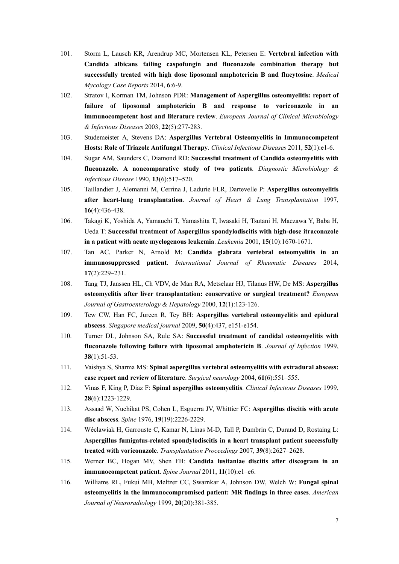- 101. Storm L, Lausch KR, Arendrup MC, Mortensen KL, Petersen E: **Vertebral infection with Candida albicans failing caspofungin and fluconazole combination therapy but successfully treated with high dose liposomal amphotericin B and flucytosine**. *Medical Mycology Case Reports* 2014, **6**:6-9.
- 102. Stratov I, Korman TM, Johnson PDR: **Management of Aspergillus osteomyelitis: report of failure of liposomal amphotericin B and response to voriconazole in an immunocompetent host and literature review**. *European Journal of Clinical Microbiology & Infectious Diseases* 2003, **22**(5):277-283.
- 103. Studemeister A, Stevens DA: **Aspergillus Vertebral Osteomyelitis in Immunocompetent Hosts: Role of Triazole Antifungal Therapy**. *Clinical Infectious Diseases* 2011, **52**(1):e1-6.
- 104. Sugar AM, Saunders C, Diamond RD: **Successful treatment of Candida osteomyelitis with fluconazole. A noncomparative study of two patients**. *Diagnostic Microbiology & Infectious Disease* 1990, **13**(6):517–520.
- 105. Taillandier J, Alemanni M, Cerrina J, Ladurie FLR, Dartevelle P: **Aspergillus osteomyelitis after heart-lung transplantation**. *Journal of Heart & Lung Transplantation* 1997, **16**(4):436-438.
- 106. Takagi K, Yoshida A, Yamauchi T, Yamashita T, Iwasaki H, Tsutani H, Maezawa Y, Baba H, Ueda T: **Successful treatment of Aspergillus spondylodiscitis with high-dose itraconazole in a patient with acute myelogenous leukemia**. *Leukemia* 2001, **15**(10):1670-1671.
- 107. Tan AC, Parker N, Arnold M: **Candida glabrata vertebral osteomyelitis in an immunosuppressed patient**. *International Journal of Rheumatic Diseases* 2014, **17**(2):229–231.
- 108. Tang TJ, Janssen HL, Ch VDV, de Man RA, Metselaar HJ, Tilanus HW, De MS: **Aspergillus osteomyelitis after liver transplantation: conservative or surgical treatment?** *European Journal of Gastroenterology & Hepatology* 2000, **12**(1):123-126.
- 109. Tew CW, Han FC, Jureen R, Tey BH: **Aspergillus vertebral osteomyelitis and epidural abscess**. *Singapore medical journal* 2009, **50**(4):437, e151-e154.
- 110. Turner DL, Johnson SA, Rule SA: **Successful treatment of candidal osteomyelitis with fluconazole following failure with liposomal amphotericin B**. *Journal of Infection* 1999, **38**(1):51-53.
- 111. Vaishya S, Sharma MS: **Spinal aspergillus vertebral osteomyelitis with extradural abscess: case report and review of literature**. *Surgical neurology* 2004, **61**(6):551–555.
- 112. Vinas F, King P, Diaz F: **Spinal aspergillus osteomyelitis**. *Clinical Infectious Diseases* 1999, **28**(6):1223-1229.
- 113. Assaad W, Nuchikat PS, Cohen L, Esguerra JV, Whittier FC: **Aspergillus discitis with acute disc abscess**. *Spine* 1976, **19**(19):2226-2229.
- 114. Wéclawiak H, Garrouste C, Kamar N, Linas M-D, Tall P, Dambrin C, Durand D, Rostaing L: **Aspergillus fumigatus-related spondylodiscitis in a heart transplant patient successfully treated with voriconazole**. *Transplantation Proceedings* 2007, **39**(8):2627–2628.
- 115. Werner BC, Hogan MV, Shen FH: **Candida lusitaniae discitis after discogram in an immunocompetent patient**. *Spine Journal* 2011, **11**(10):e1–e6.
- 116. Williams RL, Fukui MB, Meltzer CC, Swarnkar A, Johnson DW, Welch W: **Fungal spinal osteomyelitis in the immunocompromised patient: MR findings in three cases**. *American Journal of Neuroradiology* 1999, **20**(20):381-385.